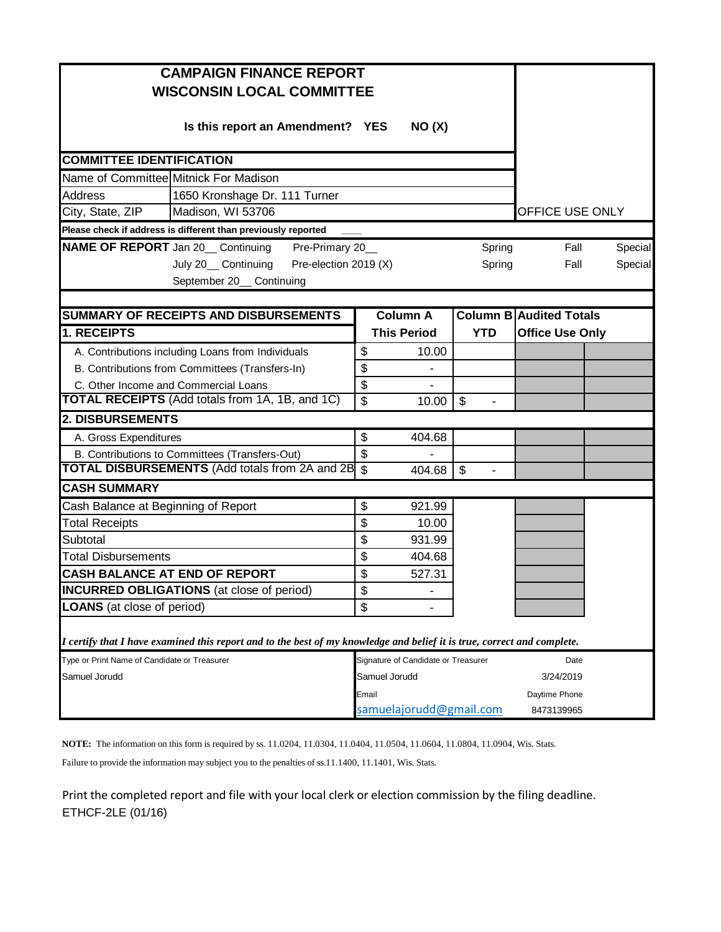| <b>CAMPAIGN FINANCE REPORT</b>                                                                                          |                 |                                     |                                           |                                |               |  |  |  |
|-------------------------------------------------------------------------------------------------------------------------|-----------------|-------------------------------------|-------------------------------------------|--------------------------------|---------------|--|--|--|
| <b>WISCONSIN LOCAL COMMITTEE</b>                                                                                        |                 |                                     |                                           |                                |               |  |  |  |
| Is this report an Amendment? YES                                                                                        |                 | NO(X)                               |                                           |                                |               |  |  |  |
| <b>COMMITTEE IDENTIFICATION</b>                                                                                         |                 |                                     |                                           |                                |               |  |  |  |
| Name of Committee Mitnick For Madison                                                                                   |                 |                                     |                                           |                                |               |  |  |  |
| <b>Address</b><br>1650 Kronshage Dr. 111 Turner                                                                         |                 |                                     |                                           |                                |               |  |  |  |
| City, State, ZIP<br>Madison, WI 53706                                                                                   | OFFICE USE ONLY |                                     |                                           |                                |               |  |  |  |
| Please check if address is different than previously reported                                                           |                 |                                     |                                           |                                |               |  |  |  |
| <b>NAME OF REPORT</b> Jan 20 Continuing<br>Pre-Primary 20_                                                              |                 |                                     | Spring                                    | Fall                           | Special       |  |  |  |
| Pre-election 2019 (X)<br>July 20_ Continuing                                                                            |                 |                                     | Spring                                    | Fall                           | Special       |  |  |  |
| September 20_ Continuing                                                                                                |                 |                                     |                                           |                                |               |  |  |  |
|                                                                                                                         |                 |                                     |                                           |                                |               |  |  |  |
| SUMMARY OF RECEIPTS AND DISBURSEMENTS                                                                                   |                 | <b>Column A</b>                     |                                           | <b>Column B Audited Totals</b> |               |  |  |  |
| <b>1. RECEIPTS</b>                                                                                                      |                 | <b>This Period</b>                  | <b>YTD</b>                                | <b>Office Use Only</b>         |               |  |  |  |
| A. Contributions including Loans from Individuals                                                                       | \$              | 10.00                               |                                           |                                |               |  |  |  |
| B. Contributions from Committees (Transfers-In)                                                                         | \$              |                                     |                                           |                                |               |  |  |  |
| C. Other Income and Commercial Loans                                                                                    | \$              |                                     |                                           |                                |               |  |  |  |
| <b>TOTAL RECEIPTS</b> (Add totals from 1A, 1B, and 1C)                                                                  | \$              | 10.00                               | \$<br>$\qquad \qquad \blacksquare$        |                                |               |  |  |  |
| 2. DISBURSEMENTS                                                                                                        |                 |                                     |                                           |                                |               |  |  |  |
| A. Gross Expenditures                                                                                                   | \$              | 404.68                              |                                           |                                |               |  |  |  |
| B. Contributions to Committees (Transfers-Out)                                                                          | \$              |                                     |                                           |                                |               |  |  |  |
| <b>TOTAL DISBURSEMENTS (Add totals from 2A and 2B</b>                                                                   | $\mathfrak{S}$  | 404.68                              | $\sqrt[6]{\frac{1}{2}}$<br>$\overline{a}$ |                                |               |  |  |  |
| <b>CASH SUMMARY</b>                                                                                                     |                 |                                     |                                           |                                |               |  |  |  |
| Cash Balance at Beginning of Report                                                                                     | \$              | 921.99                              |                                           |                                |               |  |  |  |
| <b>Total Receipts</b>                                                                                                   | \$              | 10.00                               |                                           |                                |               |  |  |  |
| Subtotal                                                                                                                | \$              | 931.99                              |                                           |                                |               |  |  |  |
| <b>Total Disbursements</b>                                                                                              | \$              | 404.68                              |                                           |                                |               |  |  |  |
| <b>CASH BALANCE AT END OF REPORT</b>                                                                                    | \$              | 527.31                              |                                           |                                |               |  |  |  |
| <b>INCURRED OBLIGATIONS</b> (at close of period)                                                                        | \$              |                                     |                                           |                                |               |  |  |  |
| <b>LOANS</b> (at close of period)                                                                                       | \$              |                                     |                                           |                                |               |  |  |  |
| I certify that I have examined this report and to the best of my knowledge and belief it is true, correct and complete. |                 |                                     |                                           |                                |               |  |  |  |
| Type or Print Name of Candidate or Treasurer                                                                            |                 | Signature of Candidate or Treasurer |                                           | Date                           |               |  |  |  |
| Samuel Jorudd                                                                                                           | Samuel Jorudd   |                                     |                                           | 3/24/2019                      |               |  |  |  |
|                                                                                                                         | Email           |                                     |                                           |                                | Daytime Phone |  |  |  |
|                                                                                                                         |                 | samuelajorudd@gmail.com             |                                           | 8473139965                     |               |  |  |  |

**NOTE:** The information on this form is required by ss. 11.0204, 11.0304, 11.0404, 11.0504, 11.0604, 11.0804, 11.0904, Wis. Stats.

Failure to provide the information may subject you to the penalties of ss.11.1400, 11.1401, Wis. Stats.

Print the completed report and file with your local clerk or election commission by the filing deadline. ETHCF-2LE (01/16)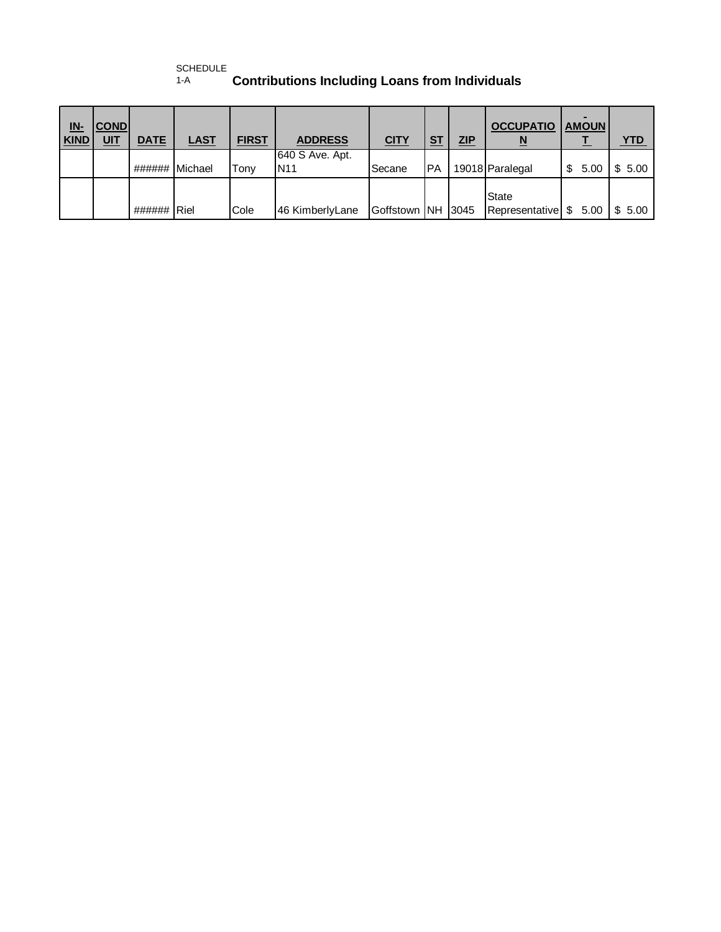## SCHEDULE<br>1-A **Contributions Including Loans from Individuals**

| <u>IN-</u><br><b>KIND</b> | <b>COND</b><br><u>UIT</u> | <b>DATE</b> | <b>LAST</b> | <b>FIRST</b> | <b>ADDRESS</b>                | <b>CITY</b>  | <b>ST</b> | ZIP  | <b>OCCUPATIO</b><br><u>N</u>           | <b>AMOUN</b> | <u>YTD</u> |
|---------------------------|---------------------------|-------------|-------------|--------------|-------------------------------|--------------|-----------|------|----------------------------------------|--------------|------------|
|                           |                           | ######      | Michael     | Tony         | 640 S Ave. Apt.<br><b>N11</b> | Secane       | <b>PA</b> |      | 19018 Paralegal                        | \$<br>5.00   | \$5.00     |
|                           |                           | ######      | <b>Riel</b> | Cole         | 46 KimberlyLane               | Goffstown NH |           | 3045 | <b>State</b><br>Representative \$ 5.00 |              | \$5.00     |